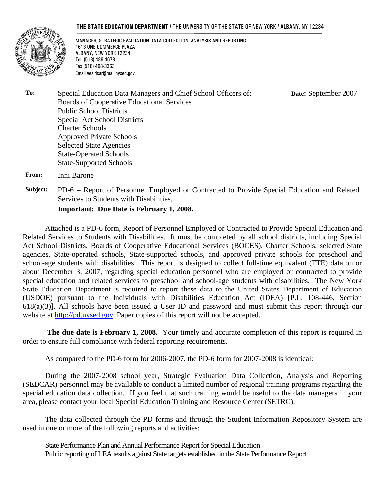#### **THE STATE EDUCATION DEPARTMENT** / THE UNIVERSITY OF THE STATE OF NEW YORK / ALBANY, NY 12234



MANAGER, STRATEGIC EVALUATION DATA COLLECTION, ANALYSIS AND REPORTING 1613 ONE COMMERCE PLAZA ALBANY, NEW YORK 12234 Tel. (518) 486-4678 Fax (518) 408-3363 Email vesidcar@mail.nysed.gov

**Date:** September 2007

**To:** Special Education Data Managers and Chief School Officers of: Boards of Cooperative Educational Services Public School Districts Special Act School Districts Charter Schools Approved Private Schools Selected State Agencies State-Operated Schools State-Supported Schools

**From:** Inni Barone

**Subject:** PD-6 – Report of Personnel Employed or Contracted to Provide Special Education and Related Services to Students with Disabilities.

**Important: Due Date is February 1, 2008.** 

Attached is a PD-6 form, Report of Personnel Employed or Contracted to Provide Special Education and Related Services to Students with Disabilities. It must be completed by all school districts, including Special Act School Districts, Boards of Cooperative Educational Services (BOCES), Charter Schools, selected State agencies, State-operated schools, State-supported schools, and approved private schools for preschool and school-age students with disabilities. This report is designed to collect full-time equivalent (FTE) data on or about December 3, 2007, regarding special education personnel who are employed or contracted to provide special education and related services to preschool and school-age students with disabilities. The New York State Education Department is required to report these data to the United States Department of Education (USDOE) pursuant to the Individuals with Disabilities Education Act (IDEA) [P.L. 108-446, Section 618(a)(3)]. All schools have been issued a User ID and password and must submit this report through our website at http://pd.nysed.gov. Paper copies of this report will not be accepted.

**The due date is February 1, 2008.** Your timely and accurate completion of this report is required in order to ensure full compliance with federal reporting requirements.

As compared to the PD-6 form for 2006-2007, the PD-6 form for 2007-2008 is identical:

During the 2007-2008 school year, Strategic Evaluation Data Collection, Analysis and Reporting (SEDCAR) personnel may be available to conduct a limited number of regional training programs regarding the special education data collection. If you feel that such training would be useful to the data managers in your area, please contact your local Special Education Training and Resource Center (SETRC).

The data collected through the PD forms and through the Student Information Repository System are used in one or more of the following reports and activities:

State Performance Plan and Annual Performance Report for Special Education Public reporting of LEA results against State targets established in the State Performance Report.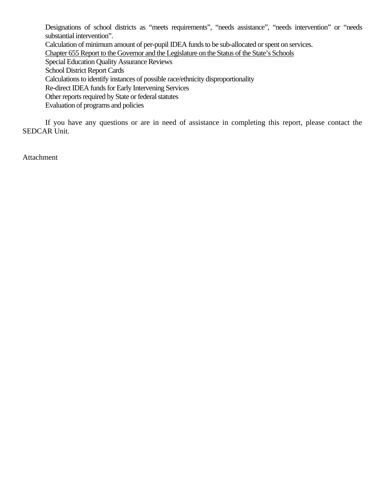Designations of school districts as "meets requirements", "needs assistance", "needs intervention" or "needs substantial intervention".

Calculation of minimum amount of per-pupil IDEA funds to be sub-allocated or spent on services.

Chapter 655 Report to the Governor and the Legislature on the Status of the State's Schools

Special Education Quality Assurance Reviews

School District Report Cards

Calculations to identify instances of possible race/ethnicity disproportionality

Re-direct IDEA funds for Early Intervening Services

Other reports required by State or federal statutes

Evaluation of programs and policies

If you have any questions or are in need of assistance in completing this report, please contact the SEDCAR Unit.

Attachment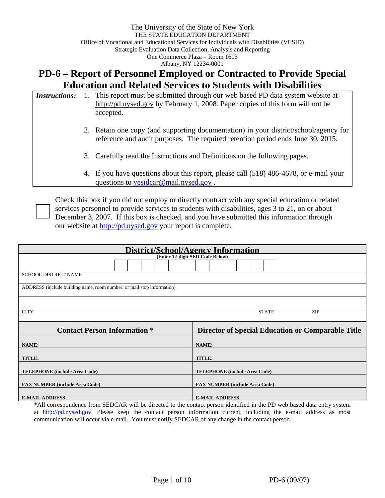# **PD-6 – Report of Personnel Employed or Contracted to Provide Special Education and Related Services to Students with Disabilities**

| <b>Instructions:</b> |  | 1. This report must be submitted through our web based PD data system website at<br>http://pd.nysed.gov by February 1, 2008. Paper copies of this form will not be<br>accepted. |
|----------------------|--|---------------------------------------------------------------------------------------------------------------------------------------------------------------------------------|
|                      |  | 2. Retain one copy (and supporting documentation) in your district/school/agency for<br>reference and audit purposes. The required retention period ends June 30, 2015.         |
|                      |  | 3. Carefully read the Instructions and Definitions on the following pages.                                                                                                      |
|                      |  | 4. If you have questions about this report, please call (518) 486-4678, or e-mail your<br>questions to <u>vesidcar@mail.nysed.gov</u> .                                         |

Check this box if you did not employ or directly contract with any special education or related services personnel to provide services to students with disabilities, ages 3 to 21, on or about December 3, 2007. If this box is checked, and you have submitted this information through our website at http://pd.nysed.gov your report is complete.

| <b>District/School/Agency Information</b>                              |                                                   |  |  |  |  |  |
|------------------------------------------------------------------------|---------------------------------------------------|--|--|--|--|--|
| (Enter 12-digit SED Code Below)                                        |                                                   |  |  |  |  |  |
|                                                                        |                                                   |  |  |  |  |  |
| SCHOOL DISTRICT NAME                                                   |                                                   |  |  |  |  |  |
| ADDRESS (include building name, room number, or mail stop information) |                                                   |  |  |  |  |  |
|                                                                        |                                                   |  |  |  |  |  |
| <b>CITY</b>                                                            | <b>STATE</b><br><b>ZIP</b>                        |  |  |  |  |  |
| <b>Contact Person Information *</b>                                    | Director of Special Education or Comparable Title |  |  |  |  |  |
| NAME:                                                                  | NAME:                                             |  |  |  |  |  |
| TITLE:                                                                 | <b>TITLE:</b>                                     |  |  |  |  |  |
| <b>TELEPHONE</b> (include Area Code)                                   | <b>TELEPHONE</b> (include Area Code)              |  |  |  |  |  |
| <b>FAX NUMBER (include Area Code)</b>                                  | <b>FAX NUMBER (include Area Code)</b>             |  |  |  |  |  |
| <b>E-MAIL ADDRESS</b>                                                  | <b>E-MAIL ADDRESS</b>                             |  |  |  |  |  |

\*All correspondence from SEDCAR will be directed to the contact person identified in the PD web based data entry system at http://pd.nysed.gov. Please keep the contact person information current, including the e-mail address as most communication will occur via e-mail. You must notify SEDCAR of any change in the contact person.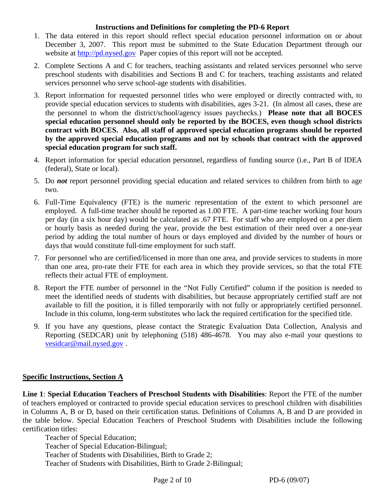#### **Instructions and Definitions for completing the PD-6 Report**

- 1. The data entered in this report should reflect special education personnel information on or about December 3, 2007. This report must be submitted to the State Education Department through our website at http://pd.nysed.gov Paper copies of this report will not be accepted.
- 2. Complete Sections A and C for teachers, teaching assistants and related services personnel who serve preschool students with disabilities and Sections B and C for teachers, teaching assistants and related services personnel who serve school-age students with disabilities.
- 3. Report information for requested personnel titles who were employed or directly contracted with, to provide special education services to students with disabilities, ages 3-21. (In almost all cases, these are the personnel to whom the district/school/agency issues paychecks.) **Please note that all BOCES special education personnel should only be reported by the BOCES, even though school districts contract with BOCES. Also, all staff of approved special education programs should be reported by the approved special education programs and not by schools that contract with the approved special education program for such staff.**
- 4. Report information for special education personnel, regardless of funding source (i.e., Part B of IDEA (federal), State or local).
- 5. Do *not* report personnel providing special education and related services to children from birth to age two.
- 6. Full-Time Equivalency (FTE) is the numeric representation of the extent to which personnel are employed. A full-time teacher should be reported as 1.00 FTE. A part-time teacher working four hours per day (in a six hour day) would be calculated as .67 FTE. For staff who are employed on a per diem or hourly basis as needed during the year, provide the best estimation of their need over a one-year period by adding the total number of hours or days employed and divided by the number of hours or days that would constitute full-time employment for such staff.
- 7. For personnel who are certified/licensed in more than one area, and provide services to students in more than one area, pro-rate their FTE for each area in which they provide services, so that the total FTE reflects their actual FTE of employment.
- 8. Report the FTE number of personnel in the "Not Fully Certified" column if the position is needed to meet the identified needs of students with disabilities, but because appropriately certified staff are not available to fill the position, it is filled temporarily with not fully or appropriately certified personnel. Include in this column, long-term substitutes who lack the required certification for the specified title.
- 9. If you have any questions, please contact the Strategic Evaluation Data Collection, Analysis and Reporting (SEDCAR) unit by telephoning (518) 486-4678. You may also e-mail your questions to vesidcar@mail.nysed.gov .

#### **Specific Instructions, Section A**

**Line 1**: **Special Education Teachers of Preschool Students with Disabilities**: Report the FTE of the number of teachers employed or contracted to provide special education services to preschool children with disabilities in Columns A, B or D, based on their certification status. Definitions of Columns A, B and D are provided in the table below. Special Education Teachers of Preschool Students with Disabilities include the following certification titles:

Teacher of Special Education; Teacher of Special Education-Bilingual; Teacher of Students with Disabilities, Birth to Grade 2; Teacher of Students with Disabilities, Birth to Grade 2-Bilingual;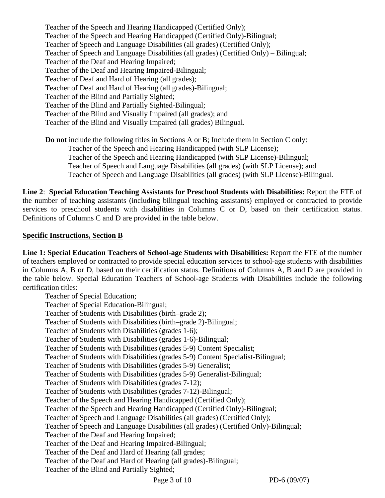Teacher of the Speech and Hearing Handicapped (Certified Only); Teacher of the Speech and Hearing Handicapped (Certified Only)-Bilingual; Teacher of Speech and Language Disabilities (all grades) (Certified Only); Teacher of Speech and Language Disabilities (all grades) (Certified Only) – Bilingual; Teacher of the Deaf and Hearing Impaired; Teacher of the Deaf and Hearing Impaired-Bilingual; Teacher of Deaf and Hard of Hearing (all grades); Teacher of Deaf and Hard of Hearing (all grades)-Bilingual; Teacher of the Blind and Partially Sighted; Teacher of the Blind and Partially Sighted-Bilingual; Teacher of the Blind and Visually Impaired (all grades); and Teacher of the Blind and Visually Impaired (all grades) Bilingual.

**Do not** include the following titles in Sections A or B; Include them in Section C only: Teacher of the Speech and Hearing Handicapped (with SLP License); Teacher of the Speech and Hearing Handicapped (with SLP License)-Bilingual; Teacher of Speech and Language Disabilities (all grades) (with SLP License); and Teacher of Speech and Language Disabilities (all grades) (with SLP License)-Bilingual.

**Line 2**: **Special Education Teaching Assistants for Preschool Students with Disabilities:** Report the FTE of the number of teaching assistants (including bilingual teaching assistants) employed or contracted to provide services to preschool students with disabilities in Columns C or D, based on their certification status. Definitions of Columns C and D are provided in the table below.

#### **Specific Instructions, Section B**

**Line 1: Special Education Teachers of School-age Students with Disabilities:** Report the FTE of the number of teachers employed or contracted to provide special education services to school-age students with disabilities in Columns A, B or D, based on their certification status. Definitions of Columns A, B and D are provided in the table below. Special Education Teachers of School-age Students with Disabilities include the following certification titles:

Teacher of Special Education; Teacher of Special Education-Bilingual; Teacher of Students with Disabilities (birth–grade 2); Teacher of Students with Disabilities (birth–grade 2)-Bilingual; Teacher of Students with Disabilities (grades 1-6); Teacher of Students with Disabilities (grades 1-6)-Bilingual; Teacher of Students with Disabilities (grades 5-9) Content Specialist; Teacher of Students with Disabilities (grades 5-9) Content Specialist-Bilingual; Teacher of Students with Disabilities (grades 5-9) Generalist; Teacher of Students with Disabilities (grades 5-9) Generalist-Bilingual; Teacher of Students with Disabilities (grades 7-12); Teacher of Students with Disabilities (grades 7-12)-Bilingual; Teacher of the Speech and Hearing Handicapped (Certified Only); Teacher of the Speech and Hearing Handicapped (Certified Only)-Bilingual; Teacher of Speech and Language Disabilities (all grades) (Certified Only); Teacher of Speech and Language Disabilities (all grades) (Certified Only)-Bilingual; Teacher of the Deaf and Hearing Impaired; Teacher of the Deaf and Hearing Impaired-Bilingual; Teacher of the Deaf and Hard of Hearing (all grades; Teacher of the Deaf and Hard of Hearing (all grades)-Bilingual; Teacher of the Blind and Partially Sighted;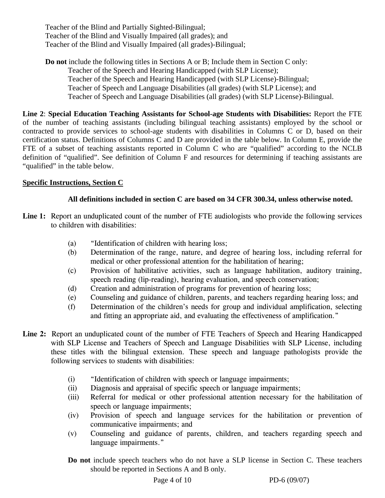Teacher of the Blind and Partially Sighted-Bilingual; Teacher of the Blind and Visually Impaired (all grades); and Teacher of the Blind and Visually Impaired (all grades)-Bilingual;

**Do not** include the following titles in Sections A or B; Include them in Section C only: Teacher of the Speech and Hearing Handicapped (with SLP License); Teacher of the Speech and Hearing Handicapped (with SLP License)-Bilingual; Teacher of Speech and Language Disabilities (all grades) (with SLP License); and Teacher of Speech and Language Disabilities (all grades) (with SLP License)-Bilingual.

**Line 2**: **Special Education Teaching Assistants for School-age Students with Disabilities:** Report the FTE of the number of teaching assistants (including bilingual teaching assistants) employed by the school or contracted to provide services to school-age students with disabilities in Columns C or D, based on their certification status. Definitions of Columns C and D are provided in the table below. In Column E, provide the FTE of a subset of teaching assistants reported in Column C who are "qualified" according to the NCLB definition of "qualified". See definition of Column F and resources for determining if teaching assistants are "qualified" in the table below.

## **Specific Instructions, Section C**

## **All definitions included in section C are based on 34 CFR 300.34, unless otherwise noted.**

- Line 1: Report an unduplicated count of the number of FTE audiologists who provide the following services to children with disabilities:
	- (a) "Identification of children with hearing loss;
	- (b) Determination of the range, nature, and degree of hearing loss, including referral for medical or other professional attention for the habilitation of hearing;
	- (c) Provision of habilitative activities, such as language habilitation, auditory training, speech reading (lip-reading), hearing evaluation, and speech conservation;
	- (d) Creation and administration of programs for prevention of hearing loss;
	- (e) Counseling and guidance of children, parents, and teachers regarding hearing loss; and
	- (f) Determination of the children's needs for group and individual amplification, selecting and fitting an appropriate aid, and evaluating the effectiveness of amplification."
- **Line 2:** Report an unduplicated count of the number of FTE Teachers of Speech and Hearing Handicapped with SLP License and Teachers of Speech and Language Disabilities with SLP License, including these titles with the bilingual extension. These speech and language pathologists provide the following services to students with disabilities:
	- (i) "Identification of children with speech or language impairments;
	- (ii) Diagnosis and appraisal of specific speech or language impairments;
	- (iii) Referral for medical or other professional attention necessary for the habilitation of speech or language impairments;
	- (iv) Provision of speech and language services for the habilitation or prevention of communicative impairments; and
	- (v) Counseling and guidance of parents, children, and teachers regarding speech and language impairments."
	- **Do not** include speech teachers who do not have a SLP license in Section C. These teachers should be reported in Sections A and B only.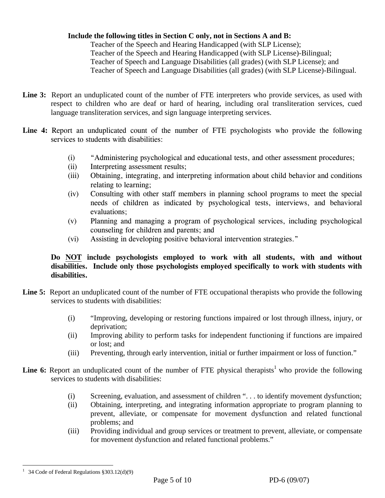#### **Include the following titles in Section C only, not in Sections A and B:**

Teacher of the Speech and Hearing Handicapped (with SLP License); Teacher of the Speech and Hearing Handicapped (with SLP License)-Bilingual; Teacher of Speech and Language Disabilities (all grades) (with SLP License); and Teacher of Speech and Language Disabilities (all grades) (with SLP License)-Bilingual.

- **Line 3:** Report an unduplicated count of the number of FTE interpreters who provide services, as used with respect to children who are deaf or hard of hearing, including oral transliteration services, cued language transliteration services, and sign language interpreting services.
- **Line 4:** Report an unduplicated count of the number of FTE psychologists who provide the following services to students with disabilities:
	- (i) "Administering psychological and educational tests, and other assessment procedures;
	- (ii) Interpreting assessment results;
	- (iii) Obtaining, integrating, and interpreting information about child behavior and conditions relating to learning;
	- (iv) Consulting with other staff members in planning school programs to meet the special needs of children as indicated by psychological tests, interviews, and behavioral evaluations;
	- (v) Planning and managing a program of psychological services, including psychological counseling for children and parents; and
	- (vi) Assisting in developing positive behavioral intervention strategies."

## **Do NOT include psychologists employed to work with all students, with and without disabilities. Include only those psychologists employed specifically to work with students with disabilities.**

- **Line 5:** Report an unduplicated count of the number of FTE occupational therapists who provide the following services to students with disabilities:
	- (i) "Improving, developing or restoring functions impaired or lost through illness, injury, or deprivation;
	- (ii) Improving ability to perform tasks for independent functioning if functions are impaired or lost; and
	- (iii) Preventing, through early intervention, initial or further impairment or loss of function."
- **Line 6:** Report an unduplicated count of the number of FTE physical therapists<sup>1</sup> who provide the following services to students with disabilities:
	- (i) Screening, evaluation, and assessment of children ". . . to identify movement dysfunction;
	- (ii) Obtaining, interpreting, and integrating information appropriate to program planning to prevent, alleviate, or compensate for movement dysfunction and related functional problems; and
	- (iii) Providing individual and group services or treatment to prevent, alleviate, or compensate for movement dysfunction and related functional problems."

 $\overline{a}$ <sup>1</sup> 34 Code of Federal Regulations  $$303.12(d)(9)$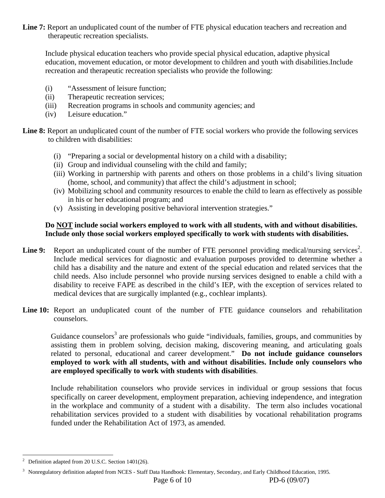Line 7: Report an unduplicated count of the number of FTE physical education teachers and recreation and therapeutic recreation specialists.

Include physical education teachers who provide special physical education, adaptive physical education, movement education, or motor development to children and youth with disabilities.Include recreation and therapeutic recreation specialists who provide the following:

- (i) "Assessment of leisure function;
- (ii) Therapeutic recreation services;
- (iii) Recreation programs in schools and community agencies; and
- (iv) Leisure education."
- Line 8: Report an unduplicated count of the number of FTE social workers who provide the following services to children with disabilities:
	- (i) "Preparing a social or developmental history on a child with a disability;
	- (ii) Group and individual counseling with the child and family;
	- (iii) Working in partnership with parents and others on those problems in a child's living situation (home, school, and community) that affect the child's adjustment in school;
	- (iv) Mobilizing school and community resources to enable the child to learn as effectively as possible in his or her educational program; and
	- (v) Assisting in developing positive behavioral intervention strategies."

#### **Do NOT include social workers employed to work with all students, with and without disabilities. Include only those social workers employed specifically to work with students with disabilities.**

- Line 9: Report an unduplicated count of the number of FTE personnel providing medical/nursing services<sup>2</sup>. Include medical services for diagnostic and evaluation purposes provided to determine whether a child has a disability and the nature and extent of the special education and related services that the child needs. Also include personnel who provide nursing services designed to enable a child with a disability to receive FAPE as described in the child's IEP, with the exception of services related to medical devices that are surgically implanted (e.g., cochlear implants).
- Line 10: Report an unduplicated count of the number of FTE guidance counselors and rehabilitation counselors.

Guidance counselors<sup>3</sup> are professionals who guide "individuals, families, groups, and communities by assisting them in problem solving, decision making, discovering meaning, and articulating goals related to personal, educational and career development." **Do not include guidance counselors employed to work with all students, with and without disabilities. Include only counselors who are employed specifically to work with students with disabilities**.

 Include rehabilitation counselors who provide services in individual or group sessions that focus specifically on career development, employment preparation, achieving independence, and integration in the workplace and community of a student with a disability. The term also includes vocational rehabilitation services provided to a student with disabilities by vocational rehabilitation programs funded under the Rehabilitation Act of 1973, as amended.

 $\overline{a}$ 

<sup>2</sup> Definition adapted from 20 U.S.C. Section 1401(26).

<sup>&</sup>lt;sup>3</sup> Nonregulatory definition adapted from NCES - Staff Data Handbook: Elementary, Secondary, and Early Childhood Education, 1995.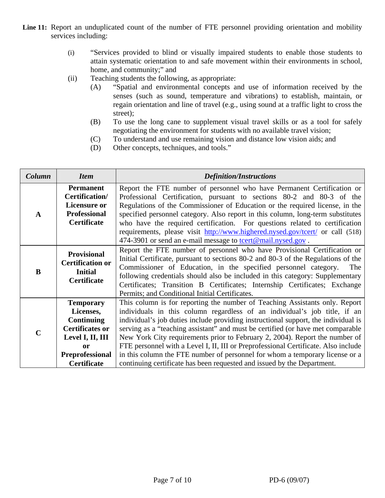- Line 11: Report an unduplicated count of the number of FTE personnel providing orientation and mobility services including:
	- (i) "Services provided to blind or visually impaired students to enable those students to attain systematic orientation to and safe movement within their environments in school, home, and community;" and
	- (ii) Teaching students the following, as appropriate:
		- (A) "Spatial and environmental concepts and use of information received by the senses (such as sound, temperature and vibrations) to establish, maintain, or regain orientation and line of travel (e.g., using sound at a traffic light to cross the street);
		- (B) To use the long cane to supplement visual travel skills or as a tool for safely negotiating the environment for students with no available travel vision;
		- (C) To understand and use remaining vision and distance low vision aids; and
		- (D) Other concepts, techniques, and tools."

| Column       | <b>Item</b>                               | <b>Definition/Instructions</b>                                                     |
|--------------|-------------------------------------------|------------------------------------------------------------------------------------|
|              | Permanent                                 | Report the FTE number of personnel who have Permanent Certification or             |
|              | Certification/                            | Professional Certification, pursuant to sections 80-2 and 80-3 of the              |
|              | <b>Licensure or</b>                       | Regulations of the Commissioner of Education or the required license, in the       |
| $\mathbf{A}$ | <b>Professional</b>                       | specified personnel category. Also report in this column, long-term substitutes    |
|              | <b>Certificate</b>                        | who have the required certification. For questions related to certification        |
|              |                                           | requirements, please visit http://www.highered.nysed.gov/tcert/ or call (518)      |
|              |                                           | 474-3901 or send an e-mail message to to the detail nysed gov.                     |
|              | <b>Provisional</b>                        | Report the FTE number of personnel who have Provisional Certification or           |
|              |                                           | Initial Certificate, pursuant to sections 80-2 and 80-3 of the Regulations of the  |
|              | <b>Certification or</b><br><b>Initial</b> | Commissioner of Education, in the specified personnel category.<br>The             |
| B            |                                           | following credentials should also be included in this category: Supplementary      |
|              | <b>Certificate</b>                        | Certificates; Transition B Certificates; Internship Certificates; Exchange         |
|              |                                           | Permits; and Conditional Initial Certificates.                                     |
|              | <b>Temporary</b>                          | This column is for reporting the number of Teaching Assistants only. Report        |
|              | Licenses,                                 | individuals in this column regardless of an individual's job title, if an          |
|              | <b>Continuing</b>                         | individual's job duties include providing instructional support, the individual is |
| $\mathbf C$  | <b>Certificates or</b>                    | serving as a "teaching assistant" and must be certified (or have met comparable    |
|              | Level I, II, III                          | New York City requirements prior to February 2, 2004). Report the number of        |
|              | or                                        | FTE personnel with a Level I, II, III or Preprofessional Certificate. Also include |
|              | <b>Preprofessional</b>                    | in this column the FTE number of personnel for whom a temporary license or a       |
|              | <b>Certificate</b>                        | continuing certificate has been requested and issued by the Department.            |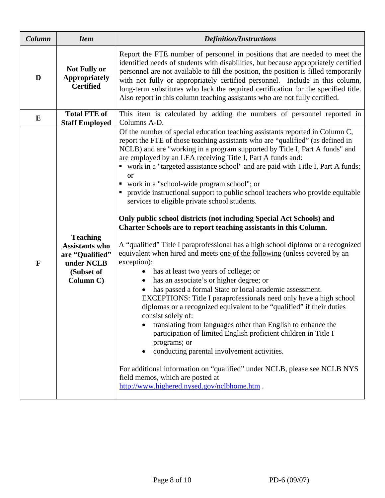| Column       | <b>Item</b>                                                                                          | <b>Definition/Instructions</b>                                                                                                                                                                                                                                                                                                                                                                                                                                                                                                                                                                                                                                                                                                                                                                                                                                                                                                                                                                                                                                                                                                                                                                                                                                                                                                                                                                                                                                                                                                                                                                               |  |  |  |  |  |
|--------------|------------------------------------------------------------------------------------------------------|--------------------------------------------------------------------------------------------------------------------------------------------------------------------------------------------------------------------------------------------------------------------------------------------------------------------------------------------------------------------------------------------------------------------------------------------------------------------------------------------------------------------------------------------------------------------------------------------------------------------------------------------------------------------------------------------------------------------------------------------------------------------------------------------------------------------------------------------------------------------------------------------------------------------------------------------------------------------------------------------------------------------------------------------------------------------------------------------------------------------------------------------------------------------------------------------------------------------------------------------------------------------------------------------------------------------------------------------------------------------------------------------------------------------------------------------------------------------------------------------------------------------------------------------------------------------------------------------------------------|--|--|--|--|--|
| D            | <b>Not Fully or</b><br><b>Appropriately</b><br><b>Certified</b>                                      | Report the FTE number of personnel in positions that are needed to meet the<br>identified needs of students with disabilities, but because appropriately certified<br>personnel are not available to fill the position, the position is filled temporarily<br>with not fully or appropriately certified personnel. Include in this column,<br>long-term substitutes who lack the required certification for the specified title.<br>Also report in this column teaching assistants who are not fully certified.                                                                                                                                                                                                                                                                                                                                                                                                                                                                                                                                                                                                                                                                                                                                                                                                                                                                                                                                                                                                                                                                                              |  |  |  |  |  |
| $\bf{E}$     | <b>Total FTE of</b><br><b>Staff Employed</b>                                                         | This item is calculated by adding the numbers of personnel reported in<br>Columns A-D.                                                                                                                                                                                                                                                                                                                                                                                                                                                                                                                                                                                                                                                                                                                                                                                                                                                                                                                                                                                                                                                                                                                                                                                                                                                                                                                                                                                                                                                                                                                       |  |  |  |  |  |
| $\mathbf{F}$ | <b>Teaching</b><br><b>Assistants who</b><br>are "Qualified"<br>under NCLB<br>(Subset of<br>Column C) | Of the number of special education teaching assistants reported in Column C,<br>report the FTE of those teaching assistants who are "qualified" (as defined in<br>NCLB) and are "working in a program supported by Title I, Part A funds" and<br>are employed by an LEA receiving Title I, Part A funds and:<br>• work in a "targeted assistance school" and are paid with Title I, Part A funds;<br>or<br>work in a "school-wide program school"; or<br>provide instructional support to public school teachers who provide equitable<br>services to eligible private school students.<br>Only public school districts (not including Special Act Schools) and<br>Charter Schools are to report teaching assistants in this Column.<br>A "qualified" Title I paraprofessional has a high school diploma or a recognized<br>equivalent when hired and meets one of the following (unless covered by an<br>exception):<br>has at least two years of college; or<br>has an associate's or higher degree; or<br>has passed a formal State or local academic assessment.<br>EXCEPTIONS: Title I paraprofessionals need only have a high school<br>diplomas or a recognized equivalent to be "qualified" if their duties<br>consist solely of:<br>translating from languages other than English to enhance the<br>participation of limited English proficient children in Title I<br>programs; or<br>conducting parental involvement activities.<br>For additional information on "qualified" under NCLB, please see NCLB NYS<br>field memos, which are posted at<br>http://www.highered.nysed.gov/nclbhome.htm . |  |  |  |  |  |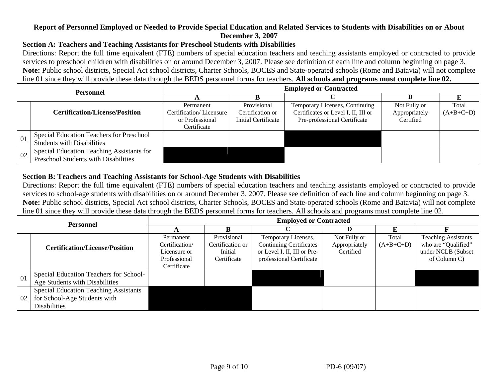## **Report of Personnel Employed or Needed to Provide Special Education and Related Services to Students with Disabilities on or About December 3, 2007**

## **Section A: Teachers and Teaching Assistants for Preschool Students with Disabilities**

Directions: Report the full time equivalent (FTE) numbers of special education teachers and teaching assistants employed or contracted to provide services to preschool children with disabilities on or around December 3, 2007. Please see definition of each line and column beginning on page 3. **Note:** Public school districts, Special Act school districts, Charter Schools, BOCES and State-operated schools (Rome and Batavia) will not complete line 01 since they will provide these data through the BEDS personnel forms for teachers. **All schools and programs must complete line 02.**

| <b>Personnel</b> |                                                                                   | <b>Employed or Contracted</b>                                          |                                                        |                                                                                                       |                                            |                      |  |  |  |
|------------------|-----------------------------------------------------------------------------------|------------------------------------------------------------------------|--------------------------------------------------------|-------------------------------------------------------------------------------------------------------|--------------------------------------------|----------------------|--|--|--|
|                  |                                                                                   |                                                                        |                                                        |                                                                                                       |                                            |                      |  |  |  |
|                  | <b>Certification/License/Position</b>                                             | Permanent<br>Certification/Licensure<br>or Professional<br>Certificate | Provisional<br>Certification or<br>Initial Certificate | Temporary Licenses, Continuing<br>Certificates or Level I, II, III or<br>Pre-professional Certificate | Not Fully or<br>Appropriately<br>Certified | Total<br>$(A+B+C+D)$ |  |  |  |
| 01               | Special Education Teachers for Preschool<br><b>Students with Disabilities</b>     |                                                                        |                                                        |                                                                                                       |                                            |                      |  |  |  |
| 02               | Special Education Teaching Assistants for<br>Preschool Students with Disabilities |                                                                        |                                                        |                                                                                                       |                                            |                      |  |  |  |

## **Section B: Teachers and Teaching Assistants for School-Age Students with Disabilities**

Directions: Report the full time equivalent (FTE) numbers of special education teachers and teaching assistants employed or contracted to provide services to school-age students with disabilities on or around December 3, 2007. Please see definition of each line and column beginning on page 3. **Note:** Public school districts, Special Act school districts, Charter Schools, BOCES and State-operated schools (Rome and Batavia) will not complete line 01 since they will provide these data through the BEDS personnel forms for teachers. All schools and programs must complete line 02.

| <b>Personnel</b> |                                                                                                     | <b>Employed or Contracted</b>                                              |                                                           |                                                                                                                  |                                            |                      |                                                                                         |  |  |
|------------------|-----------------------------------------------------------------------------------------------------|----------------------------------------------------------------------------|-----------------------------------------------------------|------------------------------------------------------------------------------------------------------------------|--------------------------------------------|----------------------|-----------------------------------------------------------------------------------------|--|--|
|                  |                                                                                                     |                                                                            |                                                           |                                                                                                                  |                                            |                      |                                                                                         |  |  |
|                  | <b>Certification/License/Position</b>                                                               | Permanent<br>Certification/<br>Licensure or<br>Professional<br>Certificate | Provisional<br>Certification or<br>Initial<br>Certificate | Temporary Licenses,<br><b>Continuing Certificates</b><br>or Level I, II, III or Pre-<br>professional Certificate | Not Fully or<br>Appropriately<br>Certified | Total<br>$(A+B+C+D)$ | <b>Teaching Assistants</b><br>who are "Qualified"<br>under NCLB (Subset<br>of Column C) |  |  |
| 01               | Special Education Teachers for School-<br>Age Students with Disabilities                            |                                                                            |                                                           |                                                                                                                  |                                            |                      |                                                                                         |  |  |
| 02               | <b>Special Education Teaching Assistants</b><br>for School-Age Students with<br><b>Disabilities</b> |                                                                            |                                                           |                                                                                                                  |                                            |                      |                                                                                         |  |  |